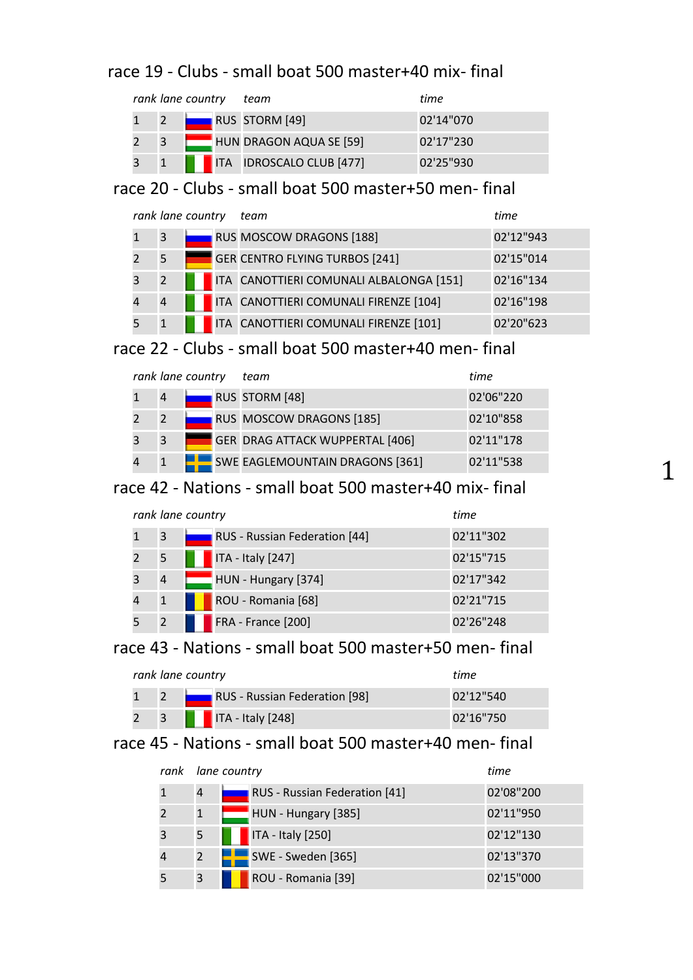### race 19 - Clubs - small boat 500 master+40 mix- final

|   |  | rank lane country team              | time      |
|---|--|-------------------------------------|-----------|
|   |  | <b>RUS STORM [49]</b>               | 02'14"070 |
| 3 |  | HUN DRAGON AQUA SE [59]             | 02'17"230 |
|   |  | <b>THE ITA IDROSCALO CLUB [477]</b> | 02'25"930 |

# race 20 - Clubs - small boat 500 master+50 men- final

|                | rank lane country | team                                    | time      |
|----------------|-------------------|-----------------------------------------|-----------|
| 3              |                   | RUS MOSCOW DRAGONS [188]                | 02'12"943 |
| 5              |                   | GER CENTRO FLYING TURBOS [241]          | 02'15"014 |
| 2              |                   | ITA CANOTTIERI COMUNALI ALBALONGA [151] | 02'16"134 |
| $\overline{4}$ |                   | ITA CANOTTIERI COMUNALI FIRENZE [104]   | 02'16"198 |
|                |                   | ITA CANOTTIERI COMUNALI FIRENZE [101]   | 02'20"623 |

## race 22 - Clubs - small boat 500 master+40 men- final

|                |   | rank lane country | team                                   | time      |
|----------------|---|-------------------|----------------------------------------|-----------|
|                | 4 |                   | RUS STORM [48]                         | 02'06"220 |
| 2              | 2 |                   | RUS MOSCOW DRAGONS [185]               | 02'10"858 |
| 3              | 3 |                   | <b>GER DRAG ATTACK WUPPERTAL [406]</b> | 02'11"178 |
| $\overline{4}$ |   |                   | SWE EAGLEMOUNTAIN DRAGONS [361]        | 02'11"538 |

### race 42 - Nations - small boat 500 master+40 mix- final

| rank lane country | time                          |           |
|-------------------|-------------------------------|-----------|
| 3                 | RUS - Russian Federation [44] | 02'11"302 |
| 5                 | ITA - Italy [247]             | 02'15"715 |
| 4                 | HUN - Hungary [374]           | 02'17"342 |
| $\mathbf 1$       | ROU - Romania [68]            | 02'21"715 |
|                   | FRA - France [200]            | 02'26"248 |

### race 43 - Nations - small boat 500 master+50 men- final

| rank lane country |  | time                                     |             |
|-------------------|--|------------------------------------------|-------------|
|                   |  | 1 2 <b>RUS</b> - Russian Federation [98] | 02'12"540   |
|                   |  | 2 3 <b>1 ITA</b> - Italy $[248]$         | 02'16''750' |

#### race 45 - Nations - small boat 500 master+40 men- final

| rank |              | lane country                  | time      |
|------|--------------|-------------------------------|-----------|
|      | 4            | RUS - Russian Federation [41] | 02'08"200 |
|      | $\mathbf{1}$ | HUN - Hungary [385]           | 02'11"950 |
|      | 5            | ITA - Italy [250]             | 02'12"130 |
|      | 2            | <b>SWE - Sweden [365]</b>     | 02'13"370 |
|      | 3            | ROU - Romania [39]            | 02'15"000 |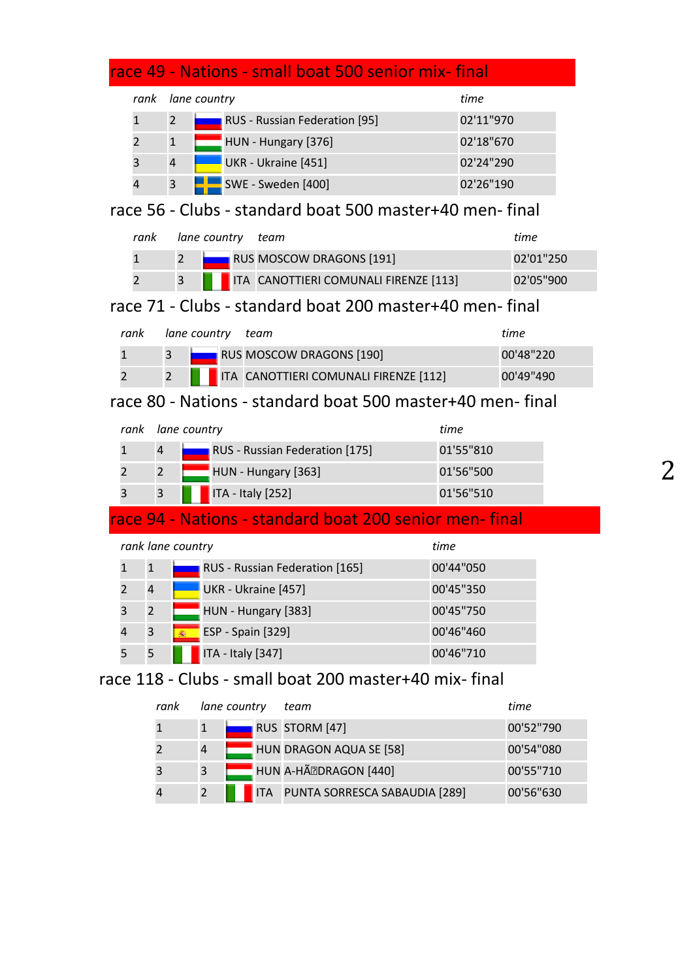|                |                   | race 49 - Nations - small boat 500 senior mix-final       |           |           |
|----------------|-------------------|-----------------------------------------------------------|-----------|-----------|
| rank           |                   | lane country                                              | time      |           |
| $\mathbf{1}$   | $\overline{2}$    | RUS - Russian Federation [95]                             | 02'11"970 |           |
| $\overline{2}$ | $\mathbf{1}$      | HUN - Hungary [376]                                       | 02'18"670 |           |
| 3              | $\overline{4}$    | UKR - Ukraine [451]                                       | 02'24"290 |           |
| $\overline{4}$ | 3                 | <b>SWE - Sweden [400]</b>                                 | 02'26"190 |           |
|                |                   | race 56 - Clubs - standard boat 500 master+40 men-final   |           |           |
| rank           |                   | lane country<br>team                                      |           | time      |
| $\mathbf{1}$   |                   | RUS MOSCOW DRAGONS [191]<br>$\overline{2}$                |           | 02'01"250 |
| $\overline{2}$ |                   | ITA CANOTTIERI COMUNALI FIRENZE [113]<br>3                |           | 02'05"900 |
|                |                   | race 71 - Clubs - standard boat 200 master+40 men-final   |           |           |
| rank           |                   | lane country<br>team                                      |           | time      |
| $\mathbf{1}$   | 3                 | RUS MOSCOW DRAGONS [190]                                  |           | 00'48"220 |
| $\overline{2}$ | $\overline{2}$    | ITA CANOTTIERI COMUNALI FIRENZE [112]                     |           | 00'49"490 |
|                |                   | race 80 - Nations - standard boat 500 master+40 men-final |           |           |
| rank           |                   | lane country                                              | time      |           |
| $\mathbf{1}$   | 4                 | RUS - Russian Federation [175]                            | 01'55"810 |           |
| $\overline{2}$ | $\overline{2}$    | HUN - Hungary [363]                                       | 01'56"500 |           |
| 3              | 3                 | ITA - Italy [252]                                         | 01'56"510 |           |
|                |                   | race 94 - Nations - standard boat 200 senior men-final    |           |           |
|                | rank lane country |                                                           | time      |           |
| $\mathbf{1}$   | $\mathbf{1}$      | RUS - Russian Federation [165]                            | 00'44"050 |           |
| $\overline{c}$ | $\overline{4}$    | UKR - Ukraine [457]                                       | 00'45"350 |           |
| 3              | $\overline{2}$    | HUN - Hungary [383]                                       | 00'45"750 |           |
| 4              | 3                 | <b>ESP</b> - Spain [329]                                  | 00'46"460 |           |
| 5              | 5                 | ITA - Italy [347]                                         | 00'46"710 |           |
|                |                   | race 118 - Clubs - small boat 200 master+40 mix- final    |           |           |

| rank |                | lane country | team                                     | time      |
|------|----------------|--------------|------------------------------------------|-----------|
|      |                |              | RUS STORM [47]                           | 00'52"790 |
|      | $\overline{a}$ |              | HUN DRAGON AQUA SE [58]                  | 00'54"080 |
|      | 3              |              | HUN A-HÃ DRAGON [440]                    | 00'55"710 |
|      | 2              |              | <b>ITA PUNTA SORRESCA SABAUDIA [289]</b> | 00'56"630 |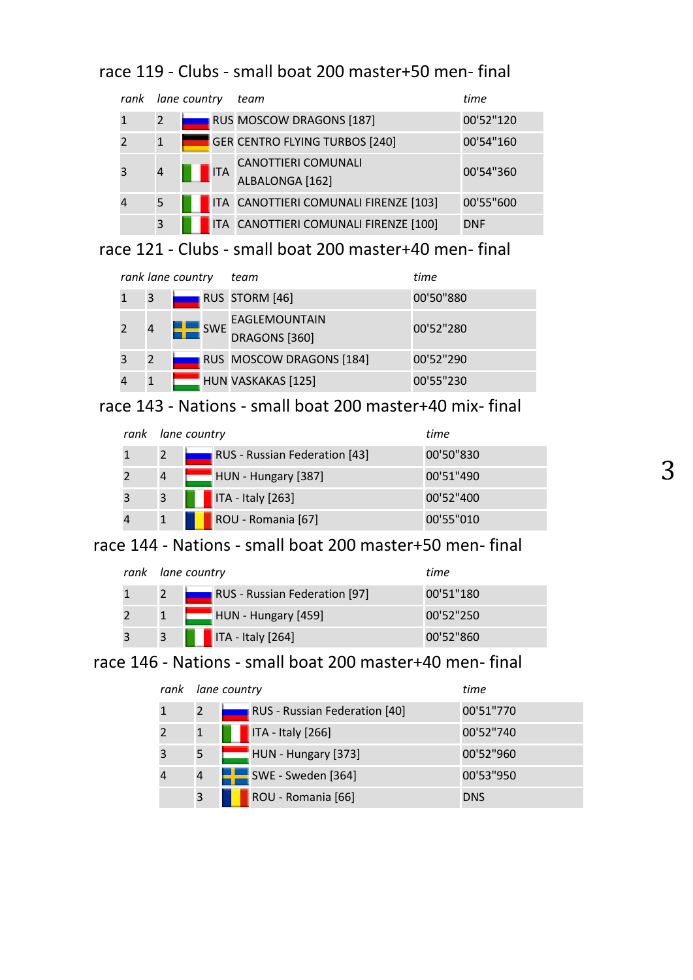# race 119 - Clubs - small boat 200 master+50 men- final

| rank | lane country |  |            | team                                   | time       |
|------|--------------|--|------------|----------------------------------------|------------|
|      | 2            |  |            | RUS MOSCOW DRAGONS [187]               | 00'52"120  |
|      | $\mathbf{1}$ |  |            | <b>GER CENTRO FLYING TURBOS [240]</b>  | 00'54"160  |
|      | 4            |  | <b>ITA</b> | CANOTTIERI COMUNALI<br>ALBALONGA [162] | 00'54"360  |
|      | 5            |  |            | ITA CANOTTIERI COMUNALI FIRENZE [103]  | 00'55"600  |
|      | 3            |  |            | ITA CANOTTIERI COMUNALI FIRENZE [100]  | <b>DNF</b> |

race 121 - Clubs - small boat 200 master+40 men- final

|                |   | rank lane country |            | team                           | time      |
|----------------|---|-------------------|------------|--------------------------------|-----------|
|                | 3 |                   |            | RUS STORM [46]                 | 00'50"880 |
| $\overline{2}$ | 4 |                   | <b>SWE</b> | EAGLEMOUNTAIN<br>DRAGONS [360] | 00'52"280 |
| 3              | 2 |                   |            | RUS MOSCOW DRAGONS [184]       | 00'52"290 |
|                |   |                   |            | HUN VASKAKAS [125]             | 00'55"230 |

race 143 - Nations - small boat 200 master+40 mix- final

| rank | lane country |                                  | time      |
|------|--------------|----------------------------------|-----------|
|      | 2            | RUS - Russian Federation [43]    | 00'50"830 |
|      | 4            | HUN - Hungary [387]              | 00'51"490 |
|      | 3            | $\blacksquare$ ITA - Italy [263] | 00'52"400 |
|      |              | ROU - Romania [67]               | 00'55"010 |

race 144 - Nations - small boat 200 master+50 men- final

|      | rank lane country                | time      |
|------|----------------------------------|-----------|
|      | RUS - Russian Federation [97]    | 00'51"180 |
|      | $HUN - Hungary [459]$            | 00'52"250 |
| 43 Z | $\blacksquare$ ITA - Italy [264] | 00'52"860 |

# race 146 - Nations - small boat 200 master+40 men- final

| rank |                | lane country                  | time       |
|------|----------------|-------------------------------|------------|
|      | 2              | RUS - Russian Federation [40] | 00'51"770  |
|      | $\mathbf{1}$   | $\sqrt{17A}$ - Italy [266]    | 00'52"740  |
|      | 5              | HUN - Hungary [373]           | 00'52"960  |
|      | 4              | SWE - Sweden [364]            | 00'53"950  |
|      | $\overline{3}$ | ROU - Romania [66]            | <b>DNS</b> |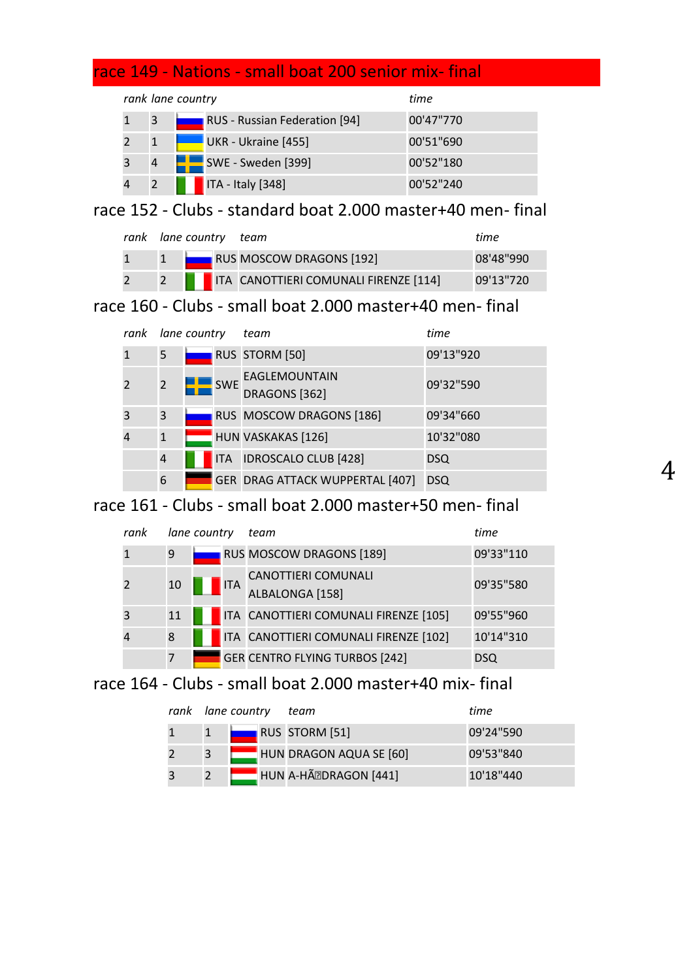# race 149 - Nations - small boat 200 senior mix- final

|   | rank lane country | time                          |           |
|---|-------------------|-------------------------------|-----------|
| 3 |                   | RUS - Russian Federation [94] | 00'47"770 |
|   |                   | UKR - Ukraine [455]           | 00'51"690 |
| 4 |                   | SWE - Sweden [399]            | 00'52"180 |
|   |                   | $\sqrt{17A - Italy}$ [348]    | 00'52"240 |

# race 152 - Clubs - standard boat 2.000 master+40 men- final

| rank lane country team |  |                                           | time       |
|------------------------|--|-------------------------------------------|------------|
|                        |  | 1 <b>NOST AND RAGONS</b> [192]            | 08'48"990  |
|                        |  | 2   ITA CANOTTIERI COMUNALI FIRENZE [114] | 09'13''720 |

# race 160 - Clubs - small boat 2.000 master+40 men- final

| rank | lane country   |  |            | team                            | time       |
|------|----------------|--|------------|---------------------------------|------------|
|      | 5              |  |            | RUS STORM [50]                  | 09'13"920  |
|      | $\overline{2}$ |  | <b>SWE</b> | EAGLEMOUNTAIN<br>DRAGONS [362]  | 09'32"590  |
| 3    | 3              |  |            | RUS MOSCOW DRAGONS [186]        | 09'34"660  |
|      | $\mathbf{1}$   |  |            | HUN VASKAKAS [126]              | 10'32"080  |
|      | 4              |  |            | ITA IDROSCALO CLUB [428]        | <b>DSQ</b> |
|      | 6              |  |            | GER DRAG ATTACK WUPPERTAL [407] | <b>DSQ</b> |

4

# race 161 - Clubs - small boat 2.000 master+50 men- final

| rank |    | lane country |            | team                                          | time       |
|------|----|--------------|------------|-----------------------------------------------|------------|
|      | 9  |              |            | RUS MOSCOW DRAGONS [189]                      | 09'33"110  |
|      | 10 |              | <b>ITA</b> | <b>CANOTTIERI COMUNALI</b><br>ALBALONGA [158] | 09'35"580  |
| 3    | 11 |              |            | ITA CANOTTIERI COMUNALI FIRENZE [105]         | 09'55"960  |
|      | 8  |              |            | ITA CANOTTIERI COMUNALI FIRENZE [102]         | 10'14"310  |
|      | 7  |              |            | <b>GER CENTRO FLYING TURBOS [242]</b>         | <b>DSQ</b> |

# race 164 - Clubs - small boat 2.000 master+40 mix- final

| rank lane country | team                    | time      |
|-------------------|-------------------------|-----------|
|                   | RUS STORM [51]          | 09'24"590 |
| 3                 | HUN DRAGON AQUA SE [60] | 09'53"840 |
|                   | HUN A-HÃ PDRAGON [441]  | 10'18"440 |